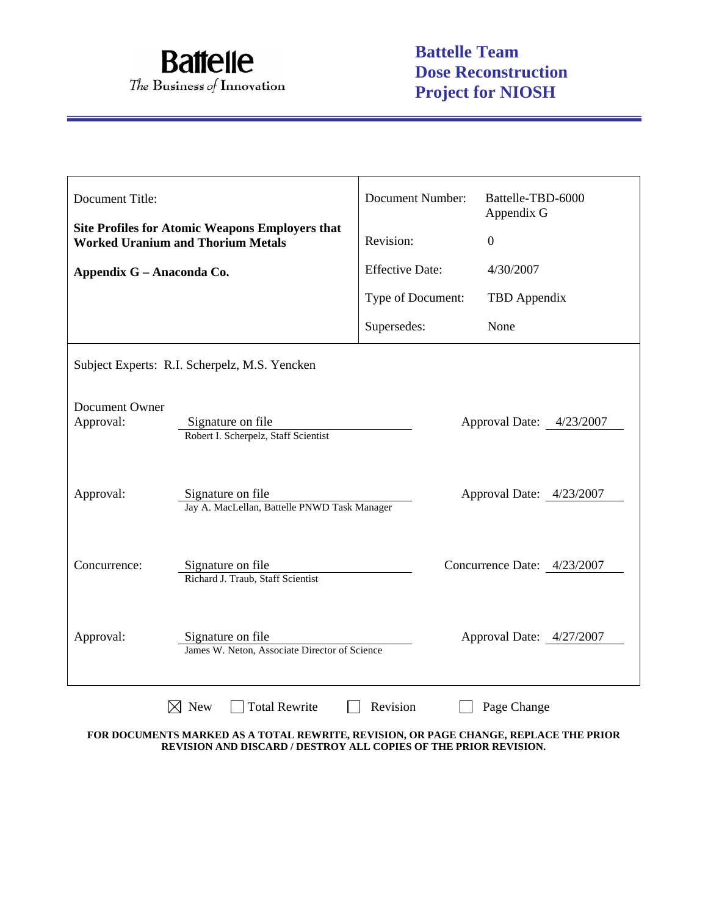

| Document Title:                               |                                                                                                    | <b>Document Number:</b> | Battelle-TBD-6000<br>Appendix G |  |  |
|-----------------------------------------------|----------------------------------------------------------------------------------------------------|-------------------------|---------------------------------|--|--|
|                                               | <b>Site Profiles for Atomic Weapons Employers that</b><br><b>Worked Uranium and Thorium Metals</b> | Revision:               | $\overline{0}$                  |  |  |
| Appendix G - Anaconda Co.                     |                                                                                                    | <b>Effective Date:</b>  | 4/30/2007                       |  |  |
|                                               |                                                                                                    | Type of Document:       | TBD Appendix                    |  |  |
|                                               |                                                                                                    | Supersedes:             | None                            |  |  |
| Subject Experts: R.I. Scherpelz, M.S. Yencken |                                                                                                    |                         |                                 |  |  |
| Document Owner<br>Approval:                   | Signature on file<br>Approval Date: 4/23/2007<br>Robert I. Scherpelz, Staff Scientist              |                         |                                 |  |  |
| Approval:                                     | Signature on file<br>Approval Date: 4/23/2007<br>Jay A. MacLellan, Battelle PNWD Task Manager      |                         |                                 |  |  |
| Concurrence:                                  | Signature on file<br>Richard J. Traub, Staff Scientist                                             |                         | Concurrence Date: 4/23/2007     |  |  |
| Approval:                                     | Signature on file<br>James W. Neton, Associate Director of Science                                 |                         | Approval Date: 4/27/2007        |  |  |
|                                               | <b>New</b><br><b>Total Rewrite</b>                                                                 | Revision                | Page Change                     |  |  |

**FOR DOCUMENTS MARKED AS A TOTAL REWRITE, REVISION, OR PAGE CHANGE, REPLACE THE PRIOR REVISION AND DISCARD / DESTROY ALL COPIES OF THE PRIOR REVISION.**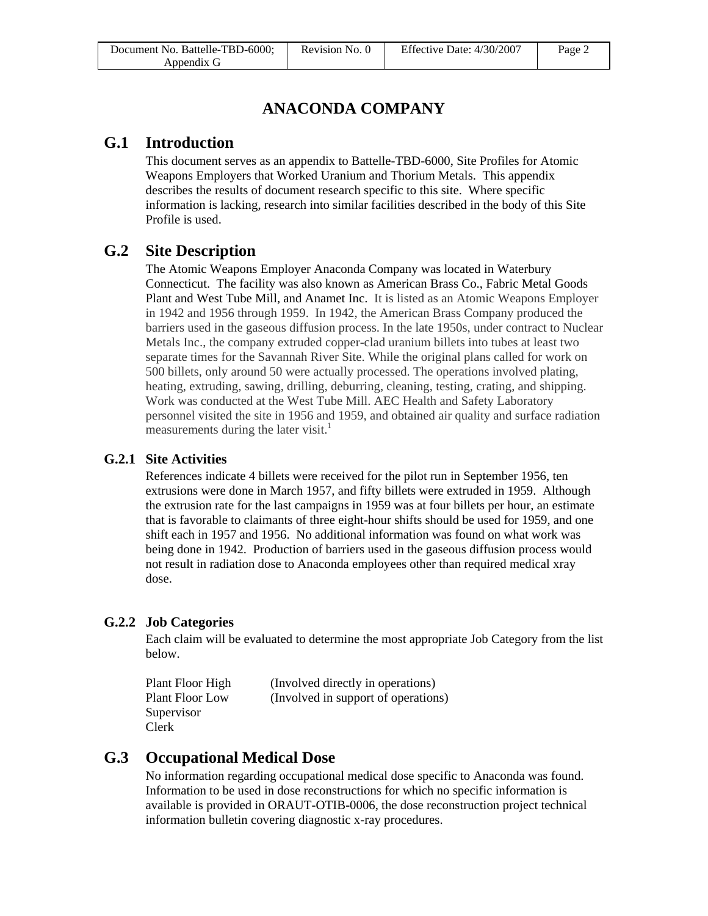# **ANACONDA COMPANY**

# **G.1 Introduction**

This document serves as an appendix to Battelle-TBD-6000, Site Profiles for Atomic Weapons Employers that Worked Uranium and Thorium Metals. This appendix describes the results of document research specific to this site. Where specific information is lacking, research into similar facilities described in the body of this Site Profile is used.

# **G.2 Site Description**

The Atomic Weapons Employer Anaconda Company was located in Waterbury Connecticut. The facility was also known as American Brass Co., Fabric Metal Goods Plant and West Tube Mill, and Anamet Inc. It is listed as an Atomic Weapons Employer in 1942 and 1956 through 1959. In 1942, the American Brass Company produced the barriers used in the gaseous diffusion process. In the late 1950s, under contract to Nuclear Metals Inc., the company extruded copper-clad uranium billets into tubes at least two separate times for the Savannah River Site. While the original plans called for work on 500 billets, only around 50 were actually processed. The operations involved plating, heating, extruding, sawing, drilling, deburring, cleaning, testing, crating, and shipping. Work was conducted at the West Tube Mill. AEC Health and Safety Laboratory personnel visited the site in 1956 and 1959, and obtained air quality and surface radiation measurements during the later visit.<sup>1</sup>

### **G.2.1 Site Activities**

References indicate 4 billets were received for the pilot run in September 1956, ten extrusions were done in March 1957, and fifty billets were extruded in 1959. Although the extrusion rate for the last campaigns in 1959 was at four billets per hour, an estimate that is favorable to claimants of three eight-hour shifts should be used for 1959, and one shift each in 1957 and 1956. No additional information was found on what work was being done in 1942. Production of barriers used in the gaseous diffusion process would not result in radiation dose to Anaconda employees other than required medical xray dose.

### **G.2.2 Job Categories**

Each claim will be evaluated to determine the most appropriate Job Category from the list below.

| Plant Floor High       | (Involved directly in operations)   |
|------------------------|-------------------------------------|
| <b>Plant Floor Low</b> | (Involved in support of operations) |
| Supervisor             |                                     |
| Clerk                  |                                     |

# **G.3 Occupational Medical Dose**

No information regarding occupational medical dose specific to Anaconda was found. Information to be used in dose reconstructions for which no specific information is available is provided in ORAUT-OTIB-0006, the dose reconstruction project technical information bulletin covering diagnostic x-ray procedures.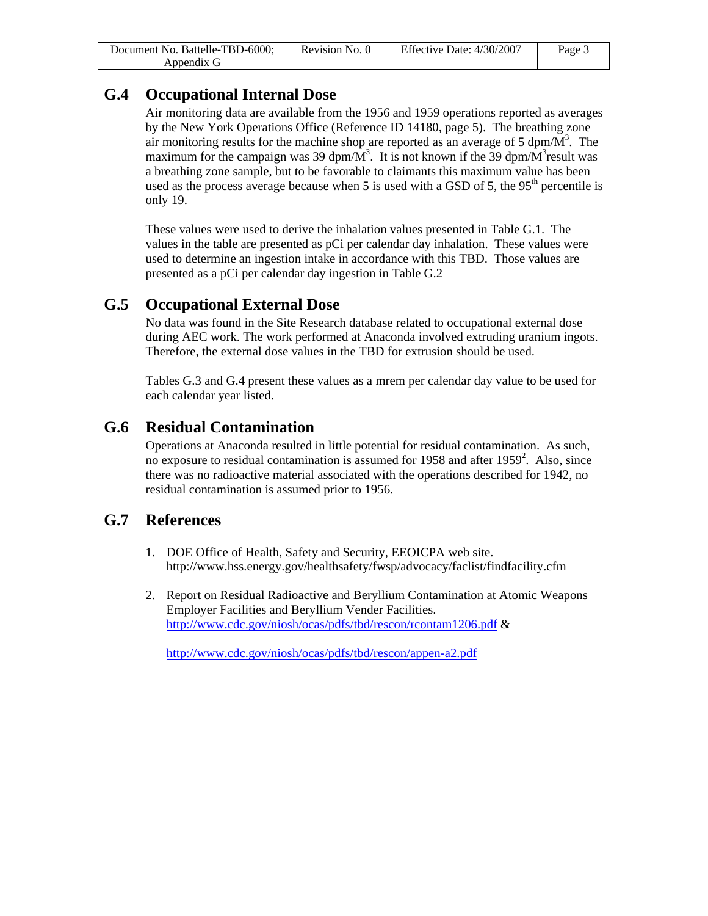| Document No. Battelle-TBD-6000; | Revision No. 0 | Effective Date: 4/30/2007 | Page 3 |
|---------------------------------|----------------|---------------------------|--------|
| Appendix G                      |                |                           |        |

# **G.4 Occupational Internal Dose**

Air monitoring data are available from the 1956 and 1959 operations reported as averages by the New York Operations Office (Reference ID 14180, page 5). The breathing zone air monitoring results for the machine shop are reported as an average of 5 dpm/ $\overline{M}^3$ . The maximum for the campaign was 39 dpm/ $\overline{M}^3$ . It is not known if the 39 dpm/ $\overline{M}^3$  result was a breathing zone sample, but to be favorable to claimants this maximum value has been used as the process average because when 5 is used with a GSD of 5, the  $95<sup>th</sup>$  percentile is only 19.

These values were used to derive the inhalation values presented in Table G.1. The values in the table are presented as pCi per calendar day inhalation. These values were used to determine an ingestion intake in accordance with this TBD. Those values are presented as a pCi per calendar day ingestion in Table G.2

# **G.5 Occupational External Dose**

No data was found in the Site Research database related to occupational external dose during AEC work. The work performed at Anaconda involved extruding uranium ingots. Therefore, the external dose values in the TBD for extrusion should be used.

Tables G.3 and G.4 present these values as a mrem per calendar day value to be used for each calendar year listed.

# **G.6 Residual Contamination**

Operations at Anaconda resulted in little potential for residual contamination. As such, no exposure to residual contamination is assumed for 1958 and after 1959<sup>2</sup>. Also, since there was no radioactive material associated with the operations described for 1942, no residual contamination is assumed prior to 1956.

# **G.7 References**

- 1. DOE Office of Health, Safety and Security, EEOICPA web site. http://www.hss.energy.gov/healthsafety/fwsp/advocacy/faclist/findfacility.cfm
- 2. Report on Residual Radioactive and Beryllium Contamination at Atomic Weapons Employer Facilities and Beryllium Vender Facilities. <http://www.cdc.gov/niosh/ocas/pdfs/tbd/rescon/rcontam1206.pdf> &

<http://www.cdc.gov/niosh/ocas/pdfs/tbd/rescon/appen-a2.pdf>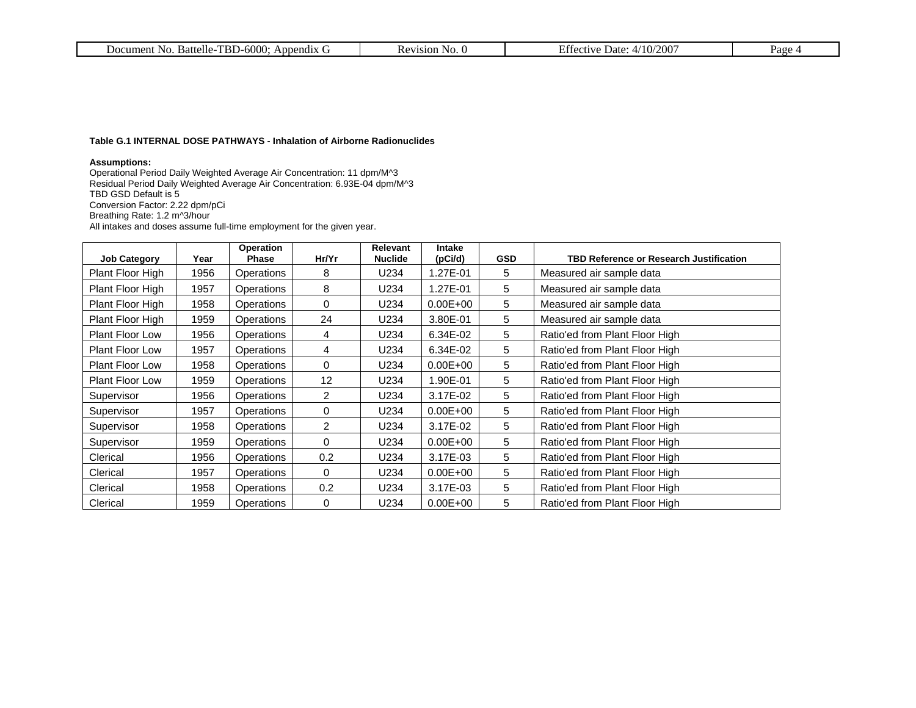| Document No. Battelle-TBD-6000; Appendix G | Pevision No. v | .4/10/2007<br><b>Effective Date:</b> | $P_{\text{age}}$ . |
|--------------------------------------------|----------------|--------------------------------------|--------------------|
|                                            |                |                                      |                    |

#### **Table G.1 INTERNAL DOSE PATHWAYS - Inhalation of Airborne Radionuclides**

#### **Assumptions:**

Operational Period Daily Weighted Average Air Concentration: 11 dpm/M^3 Residual Period Daily Weighted Average Air Concentration: 6.93E-04 dpm/M^3 TBD GSD Default is 5 Conversion Factor: 2.22 dpm/pCi Breathing Rate: 1.2 m^3/hour All intakes and doses assume full-time employment for the given year.

| <b>Job Category</b>    | Year | Operation<br><b>Phase</b> | Hr/Yr | Relevant<br><b>Nuclide</b> | <b>Intake</b><br>(pCi/d) | <b>GSD</b> | <b>TBD Reference or Research Justification</b> |
|------------------------|------|---------------------------|-------|----------------------------|--------------------------|------------|------------------------------------------------|
| Plant Floor High       | 1956 | Operations                | 8     | U234                       | 1.27E-01                 | 5          | Measured air sample data                       |
| Plant Floor High       | 1957 | <b>Operations</b>         | 8     | U234                       | 1.27E-01                 | 5          | Measured air sample data                       |
| Plant Floor High       | 1958 | Operations                | 0     | U234                       | $0.00E + 00$             | 5          | Measured air sample data                       |
| Plant Floor High       | 1959 | Operations                | 24    | U234                       | 3.80E-01                 | 5          | Measured air sample data                       |
| <b>Plant Floor Low</b> | 1956 | <b>Operations</b>         | 4     | U234                       | 6.34E-02                 | 5          | Ratio'ed from Plant Floor High                 |
| <b>Plant Floor Low</b> | 1957 | <b>Operations</b>         | 4     | U234                       | 6.34E-02                 | 5          | Ratio'ed from Plant Floor High                 |
| Plant Floor Low        | 1958 | Operations                | 0     | U234                       | $0.00E + 00$             | 5          | Ratio'ed from Plant Floor High                 |
| <b>Plant Floor Low</b> | 1959 | Operations                | 12    | U234                       | 1.90E-01                 | 5          | Ratio'ed from Plant Floor High                 |
| Supervisor             | 1956 | Operations                | 2     | U234                       | 3.17E-02                 | 5          | Ratio'ed from Plant Floor High                 |
| Supervisor             | 1957 | Operations                | 0     | U234                       | $0.00E + 00$             | 5          | Ratio'ed from Plant Floor High                 |
| Supervisor             | 1958 | Operations                | 2     | U234                       | 3.17E-02                 | 5          | Ratio'ed from Plant Floor High                 |
| Supervisor             | 1959 | Operations                | 0     | U234                       | $0.00E + 00$             | 5          | Ratio'ed from Plant Floor High                 |
| Clerical               | 1956 | Operations                | 0.2   | U234                       | 3.17E-03                 | 5          | Ratio'ed from Plant Floor High                 |
| Clerical               | 1957 | Operations                | 0     | U234                       | $0.00E + 00$             | 5          | Ratio'ed from Plant Floor High                 |
| Clerical               | 1958 | Operations                | 0.2   | U234                       | 3.17E-03                 | 5          | Ratio'ed from Plant Floor High                 |
| Clerical               | 1959 | Operations                | 0     | U234                       | $0.00E + 00$             | 5          | Ratio'ed from Plant Floor High                 |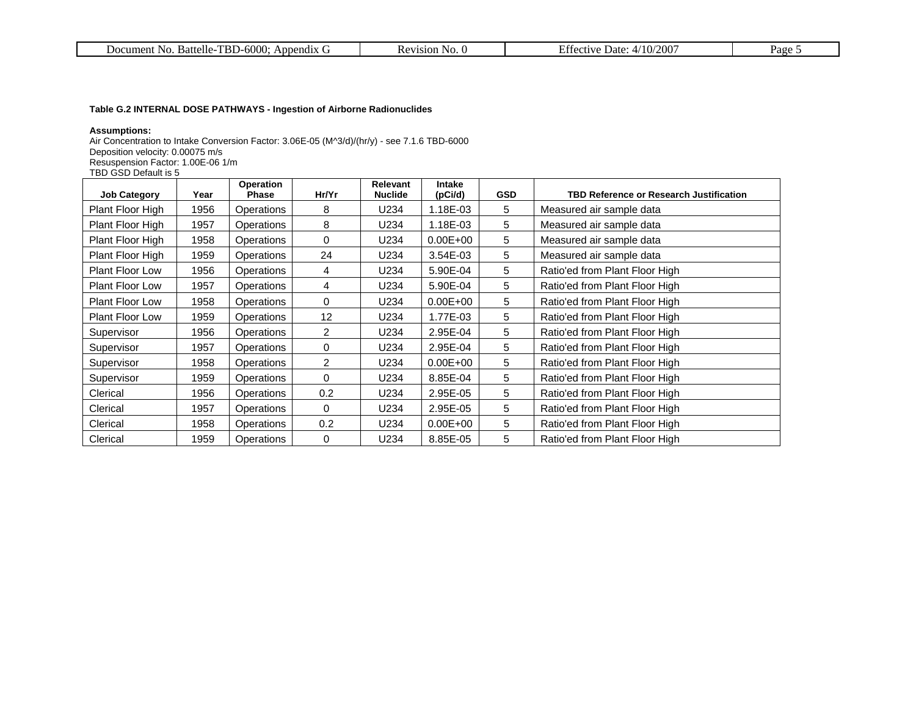| -TBD-6000<br>uttelle<br>Appendix<br>ument.<br>DOC.<br>$\mathbf{D}$<br>,,,, | No.<br>1810N | $/200^{\circ}$<br>200<br>.<br>Date<br>⇒t1VA<br>.627<br>$\mathbf{1}$ | $a$ ge. |
|----------------------------------------------------------------------------|--------------|---------------------------------------------------------------------|---------|
|----------------------------------------------------------------------------|--------------|---------------------------------------------------------------------|---------|

#### **Table G.2 INTERNAL DOSE PATHWAYS - Ingestion of Airborne Radionuclides**

#### **Assumptions:**

Air Concentration to Intake Conversion Factor: 3.06E-05 (M^3/d)/(hr/y) - see 7.1.6 TBD-6000 Deposition velocity: 0.00075 m/s Resuspension Factor: 1.00E-06 1/m TBD GSD Default is 5

| <b>Job Category</b>    | Year | Operation<br><b>Phase</b> | Hr/Yr          | Relevant<br><b>Nuclide</b> | <b>Intake</b><br>(pCi/d) | <b>GSD</b> | <b>TBD Reference or Research Justification</b> |
|------------------------|------|---------------------------|----------------|----------------------------|--------------------------|------------|------------------------------------------------|
| Plant Floor High       | 1956 | Operations                | 8              | U234                       | 1.18E-03                 | 5          | Measured air sample data                       |
| Plant Floor High       | 1957 | Operations                | 8              | U234                       | 1.18E-03                 | 5          | Measured air sample data                       |
| Plant Floor High       | 1958 | Operations                | 0              | U234                       | $0.00E + 00$             | 5          | Measured air sample data                       |
| Plant Floor High       | 1959 | Operations                | 24             | U234                       | $3.54E-03$               | 5          | Measured air sample data                       |
| <b>Plant Floor Low</b> | 1956 | Operations                | 4              | U234                       | 5.90E-04                 | 5          | Ratio'ed from Plant Floor High                 |
| <b>Plant Floor Low</b> | 1957 | <b>Operations</b>         | 4              | U234                       | 5.90E-04                 | 5          | Ratio'ed from Plant Floor High                 |
| <b>Plant Floor Low</b> | 1958 | Operations                | 0              | U234                       | $0.00E + 00$             | 5          | Ratio'ed from Plant Floor High                 |
| Plant Floor Low        | 1959 | <b>Operations</b>         | 12             | U234                       | 1.77E-03                 | 5          | Ratio'ed from Plant Floor High                 |
| Supervisor             | 1956 | Operations                | $\overline{2}$ | U234                       | 2.95E-04                 | 5          | Ratio'ed from Plant Floor High                 |
| Supervisor             | 1957 | Operations                | 0              | U234                       | 2.95E-04                 | 5          | Ratio'ed from Plant Floor High                 |
| Supervisor             | 1958 | Operations                | 2              | U234                       | $0.00E + 00$             | 5          | Ratio'ed from Plant Floor High                 |
| Supervisor             | 1959 | Operations                | 0              | U234                       | 8.85E-04                 | 5          | Ratio'ed from Plant Floor High                 |
| Clerical               | 1956 | <b>Operations</b>         | 0.2            | U234                       | 2.95E-05                 | 5          | Ratio'ed from Plant Floor High                 |
| Clerical               | 1957 | Operations                | 0              | U234                       | 2.95E-05                 | 5          | Ratio'ed from Plant Floor High                 |
| Clerical               | 1958 | Operations                | 0.2            | U234                       | $0.00E + 00$             | 5          | Ratio'ed from Plant Floor High                 |
| Clerical               | 1959 | Operations                | 0              | U234                       | 8.85E-05                 | 5          | Ratio'ed from Plant Floor High                 |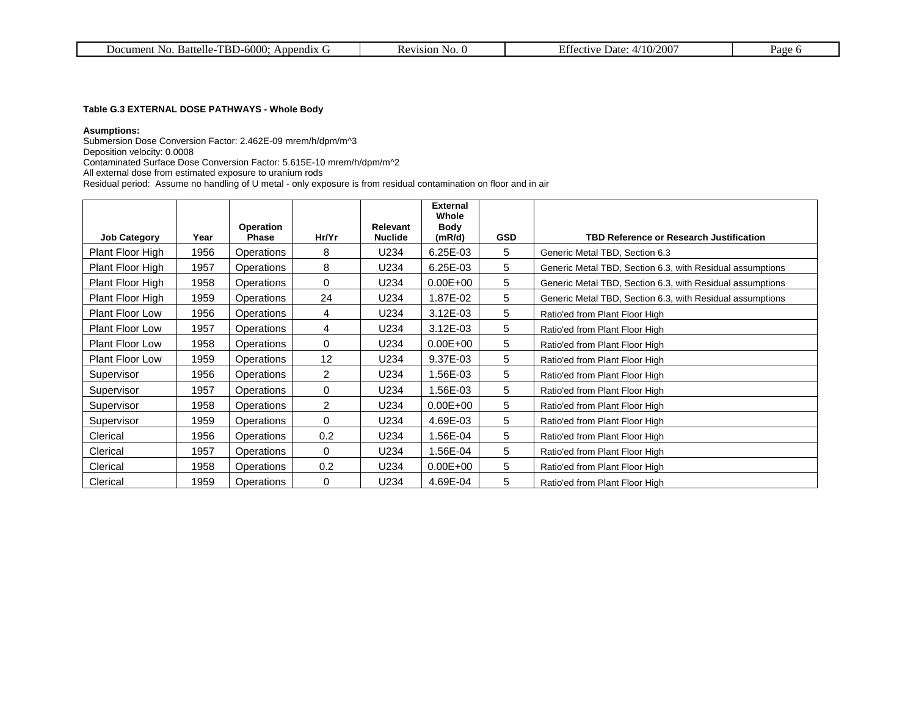| $-600c$<br>Battell<br>əendix.<br>Anr<br>N <sub>0</sub><br>aiment<br><b>JOK</b><br>باللاب | 71S1ON.<br>NO. | 0/200<br>$\overline{\phantom{a}}$<br>Date:<br>∙tıv€ | 'age |
|------------------------------------------------------------------------------------------|----------------|-----------------------------------------------------|------|
|------------------------------------------------------------------------------------------|----------------|-----------------------------------------------------|------|

#### **Table G.3 EXTERNAL DOSE PATHWAYS - Whole Body**

#### **Asumptions:**

Submersion Dose Conversion Factor: 2.462E-09 mrem/h/dpm/m^3 Deposition velocity: 0.0008 Contaminated Surface Dose Conversion Factor: 5.615E-10 mrem/h/dpm/m^2 All external dose from estimated exposure to uranium rods

Residual period: Assume no handling of U metal - only exposure is from residual contamination on floor and in air

|                        |      |                                  |                |                                   | <b>External</b><br>Whole |            |                                                           |
|------------------------|------|----------------------------------|----------------|-----------------------------------|--------------------------|------------|-----------------------------------------------------------|
| <b>Job Category</b>    | Year | <b>Operation</b><br><b>Phase</b> | Hr/Yr          | <b>Relevant</b><br><b>Nuclide</b> | Body<br>(mR/d)           | <b>GSD</b> | TBD Reference or Research Justification                   |
| Plant Floor High       | 1956 | Operations                       | 8              | U234                              | 6.25E-03                 | 5          | Generic Metal TBD, Section 6.3                            |
| Plant Floor High       | 1957 | Operations                       | 8              | U234                              | 6.25E-03                 | 5          | Generic Metal TBD, Section 6.3, with Residual assumptions |
| Plant Floor High       | 1958 | Operations                       | $\Omega$       | U234                              | $0.00E + 00$             | 5          | Generic Metal TBD, Section 6.3, with Residual assumptions |
| Plant Floor High       | 1959 | <b>Operations</b>                | 24             | U234                              | 1.87E-02                 | 5          | Generic Metal TBD, Section 6.3, with Residual assumptions |
| <b>Plant Floor Low</b> | 1956 | Operations                       | 4              | U234                              | 3.12E-03                 | 5          | Ratio'ed from Plant Floor High                            |
| <b>Plant Floor Low</b> | 1957 | Operations                       | 4              | U234                              | $3.12E-03$               | 5          | Ratio'ed from Plant Floor High                            |
| <b>Plant Floor Low</b> | 1958 | Operations                       | $\Omega$       | U234                              | $0.00E + 00$             | 5          | Ratio'ed from Plant Floor High                            |
| <b>Plant Floor Low</b> | 1959 | Operations                       | 12             | U234                              | 9.37E-03                 | 5          | Ratio'ed from Plant Floor High                            |
| Supervisor             | 1956 | <b>Operations</b>                | $\overline{2}$ | U234                              | 1.56E-03                 | 5          | Ratio'ed from Plant Floor High                            |
| Supervisor             | 1957 | Operations                       | 0              | U234                              | 1.56E-03                 | 5          | Ratio'ed from Plant Floor High                            |
| Supervisor             | 1958 | <b>Operations</b>                | $\overline{2}$ | U234                              | $0.00E + 00$             | 5          | Ratio'ed from Plant Floor High                            |
| Supervisor             | 1959 | Operations                       | 0              | U234                              | 4.69E-03                 | 5          | Ratio'ed from Plant Floor High                            |
| Clerical               | 1956 | <b>Operations</b>                | 0.2            | U234                              | 1.56E-04                 | 5          | Ratio'ed from Plant Floor High                            |
| Clerical               | 1957 | Operations                       | $\mathbf 0$    | U234                              | 1.56E-04                 | 5          | Ratio'ed from Plant Floor High                            |
| Clerical               | 1958 | <b>Operations</b>                | 0.2            | U234                              | $0.00E + 00$             | 5          | Ratio'ed from Plant Floor High                            |
| Clerical               | 1959 | Operations                       | 0              | U234                              | 4.69E-04                 | 5          | Ratio'ed from Plant Floor High                            |